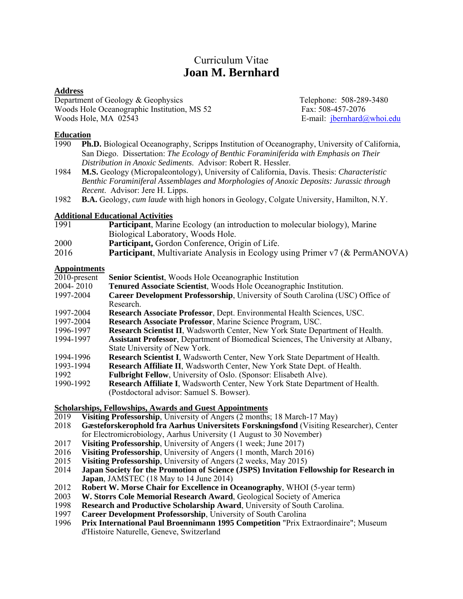# Curriculum Vitae **Joan M. Bernhard**

#### **Address**

Department of Geology & Geophysics Telephone: 508-289-3480 Woods Hole Oceanographic Institution, MS 52 Fax: 508-457-2076 Woods Hole, MA 02543 **E-mail:** jbernhard@whoi.edu

#### **Education**

- 1990 **Ph.D.** Biological Oceanography, Scripps Institution of Oceanography, University of California, San Diego. Dissertation: *The Ecology of Benthic Foraminiferida with Emphasis on Their Distribution in Anoxic Sediments*. Advisor: Robert R. Hessler.
- 1984 **M.S.** Geology (Micropaleontology), University of California, Davis. Thesis: *Characteristic Benthic Foraminiferal Assemblages and Morphologies of Anoxic Deposits: Jurassic through Recent*. Advisor: Jere H. Lipps.
- 1982 **B.A.** Geology, *cum laude* with high honors in Geology, Colgate University, Hamilton, N.Y.

# **Additional Educational Activities**

- 1991 **Participant**, Marine Ecology (an introduction to molecular biology), Marine Biological Laboratory, Woods Hole.
- 2000 **Participant,** Gordon Conference, Origin of Life.
- 2016 **Participant**, Multivariate Analysis in Ecology using Primer v7 (& PermANOVA)

#### **Appointments**

| 2010-present | <b>Senior Scientist</b> , Woods Hole Oceanographic Institution                        |
|--------------|---------------------------------------------------------------------------------------|
| 2004-2010    | Tenured Associate Scientist, Woods Hole Oceanographic Institution.                    |
| 1997-2004    | Career Development Professorship, University of South Carolina (USC) Office of        |
|              | Research.                                                                             |
| 1997-2004    | Research Associate Professor, Dept. Environmental Health Sciences, USC.               |
| 1997-2004    | Research Associate Professor, Marine Science Program, USC.                            |
| 1996-1997    | <b>Research Scientist II</b> , Wadsworth Center, New York State Department of Health. |
| 1994-1997    | Assistant Professor, Department of Biomedical Sciences, The University at Albany,     |
|              | State University of New York.                                                         |
| 1994-1996    | Research Scientist I, Wadsworth Center, New York State Department of Health.          |
| 1993-1994    | Research Affiliate II, Wadsworth Center, New York State Dept. of Health.              |
| 1992         | Fulbright Fellow, University of Oslo. (Sponsor: Elisabeth Alve).                      |
| 1990-1992    | <b>Research Affiliate I.</b> Wadsworth Center, New York State Department of Health.   |
|              | (Postdoctoral advisor: Samuel S. Bowser).                                             |
|              |                                                                                       |

# **Scholarships, Fellowships, Awards and Guest Appointments** 2019 **Visiting Professorship**, University of Angers (2 months)

- **Visiting Professorship**, University of Angers (2 months; 18 March-17 May)
- 2018 **Gæsteforskerophold fra Aarhus Universitets Forskningsfond** (Visiting Researcher), Center for Electromicrobiology, Aarhus University (1 August to 30 November)
- 2017 **Visiting Professorship**, University of Angers (1 week; June 2017)
- 2016 **Visiting Professorship**, University of Angers (1 month, March 2016)
- 2015 **Visiting Professorship**, University of Angers (2 weeks, May 2015)
- Japan Society for the Promotion of Science (JSPS) Invitation Fellowship for Research in **Japan**, JAMSTEC (18 May to 14 June 2014)
- 2012 **Robert W. Morse Chair for Excellence in Oceanography**, WHOI (5-year term)
- W. Storrs Cole Memorial Research Award, Geological Society of America
- 1998 **Research and Productive Scholarship Award**, University of South Carolina.
- 1997 **Career Development Professorship**, University of South Carolina
- 1996 **Prix International Paul Broennimann 1995 Competition** "Prix Extraordinaire"; Museum d'Histoire Naturelle, Geneve, Switzerland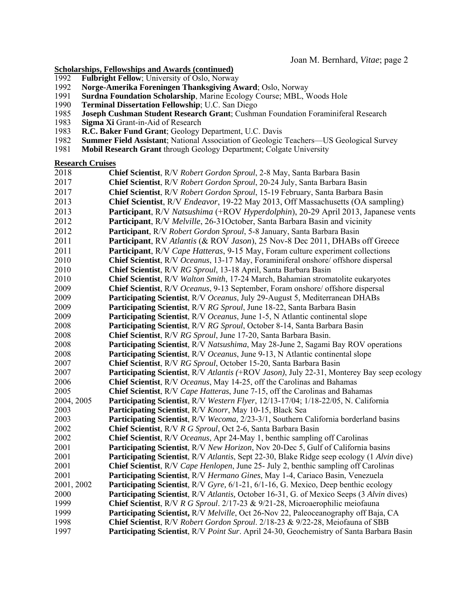#### **Scholarships, Fellowships and Awards (continued)**

- 1992 **Fulbright Fellow**; University of Oslo, Norway<br>1992 **Norge-Amerika Foreningen Thanksgiving A**
- **Norge-Amerika Foreningen Thanksgiving Award**; Oslo, Norway
- **Surdna Foundation Scholarship**, Marine Ecology Course; MBL, Woods Hole 1990 **Terminal Dissertation Fellowship**; U.C. San Diego
- **Terminal Dissertation Fellowship**; U.C. San Diego
- **Joseph Cushman Student Research Grant**; Cushman Foundation Foraminiferal Research
- **Sigma Xi** Grant-in-Aid of Research
- **R.C. Baker Fund Grant**; Geology Department, U.C. Davis
- **Summer Field Assistant**; National Association of Geologic Teachers—US Geological Survey
- **Mobil Research Grant** through Geology Department; Colgate University

#### **Research Cruises**

**Chief Scientist**, R/V *Robert Gordon Sproul*, 2-8 May, Santa Barbara Basin **Chief Scientist**, R/V *Robert Gordon Sproul*, 20-24 July, Santa Barbara Basin **Chief Scientist**, R/V *Robert Gordon Sproul*, 15-19 February, Santa Barbara Basin **Chief Scientist**, R/V *Endeavor*, 19-22 May 2013, Off Massachusetts (OA sampling) **Participant**, R/V *Natsushima* (+ROV *Hyperdolphin*), 20-29 April 2013, Japanese vents **Participant**, R/V *Melville*, 26-31October, Santa Barbara Basin and vicinity  **Participant**, R/V *Robert Gordon Sproul*, 5-8 January, Santa Barbara Basin **Participant**, RV *Atlantis* (& ROV *Jason*), 25 Nov-8 Dec 2011, DHABs off Greece **Participant**, R/V *Cape Hatteras*, 9-15 May, Foram culture experiment collections  **Chief Scientist**, R/V *Oceanus*, 13-17 May, Foraminiferal onshore/ offshore dispersal  **Chief Scientist**, R/V *RG Sproul*, 13-18 April, Santa Barbara Basin  **Chief Scientist**, R/V *Walton Smith*, 17-24 March, Bahamian stromatolite eukaryotes  **Chief Scientist**, R/V *Oceanus*, 9-13 September, Foram onshore/ offshore dispersal  **Participating Scientist**, R/V *Oceanus*, July 29-August 5, Mediterranean DHABs **Participating Scientist**, R/V *RG Sproul*, June 18-22, Santa Barbara Basin **Participating Scientist**, R/V *Oceanus*, June 1-5, N Atlantic continental slope **Participating Scientist**, R/V *RG Sproul*, October 8-14, Santa Barbara Basin **Chief Scientist**, R/V *RG Sproul*, June 17-20, Santa Barbara Basin. **Participating Scientist**, R/V *Natsushima*, May 28-June 2, Sagami Bay ROV operations **Participating Scientist**, R/V *Oceanus*, June 9-13, N Atlantic continental slope **Chief Scientist**, R/V *RG Sproul*, October 15-20, Santa Barbara Basin **Participating Scientist**, R/V *Atlantis (*+ROV *Jason)*, July 22-31, Monterey Bay seep ecology **Chief Scientist**, R/V *Oceanus*, May 14-25, off the Carolinas and Bahamas **Chief Scientist**, R/V *Cape Hatteras*, June 7-15, off the Carolinas and Bahamas 2004, 2005 **Participating Scientist**, R/V *Western Flyer*, 12/13-17/04; 1/18-22/05, N. California **Participating Scientist**, R/V *Knorr*, May 10-15, Black Sea **Participating Scientist**, R/V *Wecoma*, 2/23-3/1, Southern California borderland basins **Chief Scientist**, R/V *R G Sproul*, Oct 2-6, Santa Barbara Basin **Chief Scientist**, R/V *Oceanus*, Apr 24-May 1, benthic sampling off Carolinas **Participating Scientist**, R/V *New Horizon*, Nov 20-Dec 5, Gulf of California basins **Participating Scientist**, R/V *Atlantis*, Sept 22-30, Blake Ridge seep ecology (1 *Alvin* dive) **Chief Scientist**, R/V *Cape Henlopen*, June 25- July 2, benthic sampling off Carolinas **Participating Scientist**, R/V *Hermano Gines*, May 1-4, Cariaco Basin, Venezuela 2001, 2002 **Participating Scientist**, R/V *Gyre,* 6/1-21, 6/1-16, G. Mexico, Deep benthic ecology **Participating Scientist**, R/V *Atlantis,* October 16-31, G. of Mexico Seeps (3 *Alvin* dives) **Chief Scientist**, R/V *R G Sproul*. 2/17-23 & 9/21-28, Microaerophilic meiofauna  **Participating Scientist,** R/V *Melville*, Oct 26-Nov 22, Paleoceanography off Baja, CA **Chief Scientist**, R/V *Robert Gordon Sproul*. 2/18-23 & 9/22-28, Meiofauna of SBB  **Participating Scientist**, R/V *Point Sur*. April 24-30, Geochemistry of Santa Barbara Basin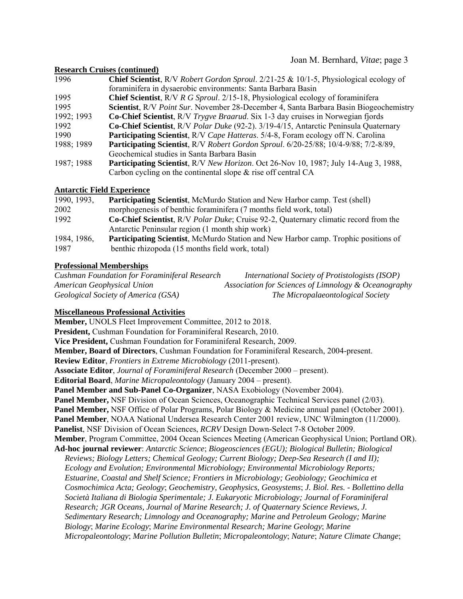Joan M. Bernhard, *Vitae*; page 3

#### **Research Cruises (continued)**

| 1996       | <b>Chief Scientist,</b> R/V Robert Gordon Sproul. 2/21-25 & 10/1-5, Physiological ecology of |
|------------|----------------------------------------------------------------------------------------------|
|            | foraminifera in dysaerobic environments: Santa Barbara Basin                                 |
| 1995       | <b>Chief Scientist, R/V R G Sproul. 2/15-18, Physiological ecology of foraminifera</b>       |
| 1995       | Scientist, R/V Point Sur. November 28-December 4, Santa Barbara Basin Biogeochemistry        |
| 1992; 1993 | <b>Co-Chief Scientist</b> , R/V Trygve Braarud. Six 1-3 day cruises in Norwegian fjords      |
| 1992       | Co-Chief Scientist, R/V Polar Duke (92-2). 3/19-4/15, Antarctic Peninsula Quaternary         |
| 1990       | <b>Participating Scientist, R/V Cape Hatteras. 5/4-8, Foram ecology off N. Carolina</b>      |
| 1988; 1989 | Participating Scientist, R/V Robert Gordon Sproul. 6/20-25/88; 10/4-9/88; 7/2-8/89,          |
|            | Geochemical studies in Santa Barbara Basin                                                   |
| 1987; 1988 | <b>Participating Scientist, R/V New Horizon. Oct 26-Nov 10, 1987; July 14-Aug 3, 1988,</b>   |
|            | Carbon cycling on the continental slope $\&$ rise off central CA                             |

#### **Antarctic Field Experience**

| 1990, 1993, | <b>Participating Scientist, McMurdo Station and New Harbor camp. Test (shell)</b>                    |  |
|-------------|------------------------------------------------------------------------------------------------------|--|
| 2002        | morphogenesis of benthic foraminifera (7 months field work, total)                                   |  |
| 1992        | <b>Co-Chief Scientist</b> , R/V <i>Polar Duke</i> ; Cruise 92-2, Quaternary climatic record from the |  |
|             | Antarctic Peninsular region (1 month ship work)                                                      |  |
| 1984, 1986, | <b>Participating Scientist, McMurdo Station and New Harbor camp. Trophic positions of</b>            |  |
| 1987        | benthic rhizopoda (15 months field work, total)                                                      |  |

#### **Professional Memberships**

| <b>Cushman Foundation for Foraminiferal Research</b> | International Society of Protistologists (ISOP)      |
|------------------------------------------------------|------------------------------------------------------|
| American Geophysical Union                           | Association for Sciences of Limnology & Oceanography |
| Geological Society of America (GSA)                  | The Micropalaeontological Society                    |

#### **Miscellaneous Professional Activities**

**Member,** UNOLS Fleet Improvement Committee, 2012 to 2018. **President,** Cushman Foundation for Foraminiferal Research, 2010. **Vice President,** Cushman Foundation for Foraminiferal Research, 2009. **Member, Board of Directors**, Cushman Foundation for Foraminiferal Research, 2004-present. **Review Editor**, *Frontiers in Extreme Microbiology* (2011-present). **Associate Editor**, *Journal of Foraminiferal Research* (December 2000 – present). **Editorial Board**, *Marine Micropaleontology* (January 2004 – present). **Panel Member and Sub-Panel Co-Organizer**, NASA Exobiology (November 2004). **Panel Member,** NSF Division of Ocean Sciences, Oceanographic Technical Services panel (2/03). **Panel Member,** NSF Office of Polar Programs, Polar Biology & Medicine annual panel (October 2001). **Panel Member**, NOAA National Undersea Research Center 2001 review, UNC Wilmington (11/2000). **Panelist**, NSF Division of Ocean Sciences, *RCRV* Design Down-Select 7-8 October 2009. **Member**, Program Committee, 2004 Ocean Sciences Meeting (American Geophysical Union; Portland OR). **Ad-hoc journal reviewer**: *Antarctic Science*; *Biogeosciences (EGU); Biological Bulletin; Biological Reviews; Biology Letters; Chemical Geology; Current Biology; Deep-Sea Research (I and II); Ecology and Evolution; Environmental Microbiology; Environmental Microbiology Reports; Estuarine, Coastal and Shelf Science; Frontiers in Microbiology; Geobiology; Geochimica et Cosmochimica Acta; Geology*; *Geochemistry, Geophysics, Geosystems*; *J. Biol. Res. - Bollettino della Società Italiana di Biologia Sperimentale; J. Eukaryotic Microbiology; Journal of Foraminiferal Research; JGR Oceans, Journal of Marine Research; J. of Quaternary Science Reviews, J. Sedimentary Research; Limnology and Oceanography; Marine and Petroleum Geology; Marine Biology*; *Marine Ecology*; *Marine Environmental Research; Marine Geology*; *Marine Micropaleontology*; *Marine Pollution Bulletin*; *Micropaleontology*; *Nature*; *Nature Climate Change*;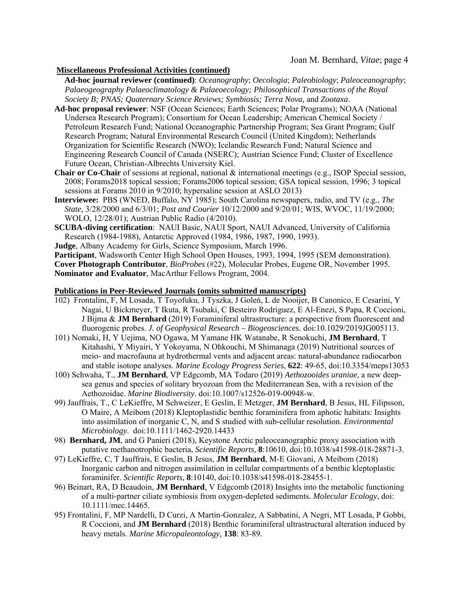#### **Miscellaneous Professional Activities (continued)**

**Ad-hoc journal reviewer (continued)**: *Oceanography*; *Oecologia*; *Paleobiology*; *Paleoceanography*; *Palaeogeography Palaeoclimatology & Palaeoecology; Philosophical Transactions of the Royal Society B; PNAS; Quaternary Science Reviews; Symbiosis; Terra Nova,* and *Zootaxa*.

- **Ad-hoc proposal reviewer**: NSF (Ocean Sciences; Earth Sciences; Polar Programs); NOAA (National Undersea Research Program); Consortium for Ocean Leadership; American Chemical Society / Petroleum Research Fund; National Oceanographic Partnership Program; Sea Grant Program; Gulf Research Program; Natural Environmental Research Council (United Kingdom); Netherlands Organization for Scientific Research (NWO); Icelandic Research Fund; Natural Science and Engineering Research Council of Canada (NSERC); Austrian Science Fund; Cluster of Excellence Future Ocean, Christian-Albrechts University Kiel.
- **Chair or Co-Chair** of sessions at regional, national & international meetings (e.g., ISOP Special session, 2008; Forams2018 topical session; Forams2006 topical session; GSA topical session, 1996; 3 topical sessions at Forams 2010 in 9/2010; hypersaline session at ASLO 2013)
- **Interviewee:** PBS (WNED, Buffalo, NY 1985); South Carolina newspapers, radio, and TV (e.g., *The State*, 3/28/2000 and 6/3/01; *Post and Courier* 10/12/2000 and 9/20/01; WIS, WVOC, 11/19/2000; WOLO, 12/28/01); Austrian Public Radio (4/2010).
- **SCUBA-diving certification**: NAUI Basic, NAUI Sport, NAUI Advanced, University of California Research (1984-1988), Antarctic Approved (1984, 1986, 1987, 1990, 1993).
- **Judge**, Albany Academy for Girls, Science Symposium, March 1996.

**Participant**, Wadsworth Center High School Open Houses, 1993, 1994, 1995 (SEM demonstration).

**Cover Photograph Contributor**, *BioProbes* (#22), Molecular Probes, Eugene OR, November 1995. **Nominator and Evaluator**, MacArthur Fellows Program, 2004.

#### **Publications in Peer-Reviewed Journals (omits submitted manuscripts)**

- 102) Frontalini, F, M Losada, T Toyofuku, J Tyszka, J Goleń, L de Nooijer, B Canonico, E Cesarini, Y Nagai, U Bickmeyer, T Ikuta, R Tsubaki, C Besteiro Rodriguez, E Al-Enezi, S Papa, R Coccioni, J Bijma & **JM Bernhard** (2019) Foraminiferal ultrastructure: a perspective from fluorescent and fluorogenic probes. *J. of Geophysical Research – Biogeosciences.* doi:10.1029/2019JG005113.
- 101) Nomaki, H, Y Uejima, NO Ogawa, M Yamane HK Watanabe, R Senokuchi, **JM Bernhard**, T Kitahashi, Y Miyairi, Y Yokoyama, N Ohkouchi, M Shimanaga (2019) Nutritional sources of meio- and macrofauna at hydrothermal vents and adjacent areas: natural-abundance radiocarbon and stable isotope analyses. *Marine Ecology Progress Series*, **622**: 49-65, doi:10.3354/meps13053
- 100) Schwaha, T., **JM Bernhard**, VP Edgcomb, MA Todaro (2019) *Aethozooides uraniae*, a new deepsea genus and species of solitary bryozoan from the Mediterranean Sea, with a revision of the Aethozoidae. *Marine Biodiversity*. doi:10.1007/s12526-019-00948-w.
- 99) Jauffrais, T., C LeKieffre, M Schweizer, E Geslin, E Metzger, **JM Bernhard**, B Jesus, HL Filipsson, O Maire, A Meibom (2018) Kleptoplastidic benthic foraminifera from aphotic habitats: Insights into assimilation of inorganic C, N, and S studied with sub-cellular resolution. *Environmental Microbiology*. doi:10.1111/1462-2920.14433
- 98) **Bernhard, JM**, and G Panieri (2018), Keystone Arctic paleoceanographic proxy association with putative methanotrophic bacteria, *Scientific Reports,* **8**:10610, doi:10.1038/s41598-018-28871-3.
- 97) LeKieffre, C, T Jauffrais, E Geslin, B Jesus, **JM Bernhard**, M-E Giovani, A Meibom (2018) Inorganic carbon and nitrogen assimilation in cellular compartments of a benthic kleptoplastic foraminifer. *Scientific Reports,* **8**:10140, doi:10.1038/s41598-018-28455-1.
- 96) Beinart, RA, D Beaudoin, **JM Bernhard**, V Edgcomb (2018) Insights into the metabolic functioning of a multi-partner ciliate symbiosis from oxygen-depleted sediments. *Molecular Ecology*, doi: 10.1111/mec.14465.
- 95) Frontalini, F, MP Nardelli, D Curzi, A Martin-Gonzalez, A Sabbatini, A Negri, MT Losada, P Gobbi, R Coccioni, and **JM Bernhard** (2018) Benthic foraminiferal ultrastructural alteration induced by heavy metals. *Marine Micropaleontology,* **138**: 83-89*.*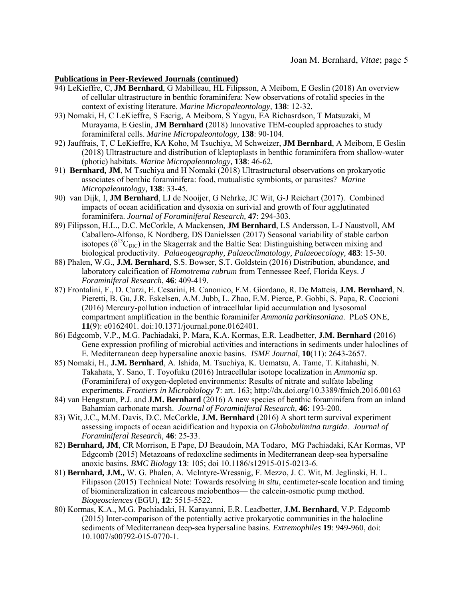- 94) LeKieffre, C, **JM Bernhard**, G Mabilleau, HL Filipsson, A Meibom, E Geslin (2018) An overview of cellular ultrastructure in benthic foraminifera: New observations of rotalid species in the context of existing literature. *Marine Micropaleontology,* **138**: 12-32*.*
- 93) Nomaki, H, C LeKieffre, S Escrig, A Meibom, S Yagyu, EA Richasrdson, T Matsuzaki, M Murayama, E Geslin, **JM Bernhard** (2018) Innovative TEM-coupled approaches to study foraminiferal cells. *Marine Micropaleontology,* **138**: 90-104*.*
- 92) Jauffrais, T, C LeKieffre, KA Koho, M Tsuchiya, M Schweizer, **JM Bernhard**, A Meibom, E Geslin (2018) Ultrastructure and distribution of kleptoplasts in benthic foraminifera from shallow-water (photic) habitats. *Marine Micropaleontology,* **138**: 46-62*.*
- 91) **Bernhard, JM**, M Tsuchiya and H Nomaki (2018) Ultrastructural observations on prokaryotic associates of benthic foraminifera: food, mutualistic symbionts, or parasites? *Marine Micropaleontology,* **138**: 33-45*.*
- 90) van Dijk, I, **JM Bernhard**, LJ de Nooijer, G Nehrke, JC Wit, G-J Reichart (2017). Combined impacts of ocean acidification and dysoxia on surivial and growth of four agglutinated foraminifera. *Journal of Foraminiferal Research,* **47**: 294-303.
- 89) Filipsson, H.L., D.C. McCorkle, A Mackensen, **JM Bernhard**, LS Andersson, L-J Naustvoll, AM Caballero-Alfonso, K Nordberg, DS Danielssen (2017) Seasonal variability of stable carbon isotopes ( $\delta^{13}C_{\text{DIC}}$ ) in the Skagerrak and the Baltic Sea: Distinguishing between mixing and biological productivity. *Palaeogeography, Palaeoclimatology, Palaeoecology,* **483**: 15-30.
- 88) Phalen, W.G., **J.M. Bernhard**, S.S. Bowser, S.T. Goldstein (2016) Distribution, abundance, and laboratory calcification of *Homotrema rubrum* from Tennessee Reef, Florida Keys. *J Foraminiferal Research*, **46**: 409-419.
- 87) Frontalini, F., D. Curzi, E. Cesarini, B. Canonico, F.M. Giordano, R. De Matteis, **J.M. Bernhard**, N. Pieretti, B. Gu, J.R. Eskelsen, A.M. Jubb, L. Zhao, E.M. Pierce, P. Gobbi, S. Papa, R. Coccioni (2016) Mercury-pollution induction of intracellular lipid accumulation and lysosomal compartment amplification in the benthic foraminifer *Ammonia parkinsoniana*. PLoS ONE, **11**(9): e0162401. doi:10.1371/journal.pone.0162401.
- 86) Edgcomb, V.P., M.G. Pachiadaki, P. Mara, K.A. Kormas, E.R. Leadbetter, **J.M. Bernhard** (2016) Gene expression profiling of microbial activities and interactions in sediments under haloclines of E. Mediterranean deep hypersaline anoxic basins. *ISME Journal,* **10**(11): 2643-2657.
- 85) Nomaki, H., **J.M. Bernhard**, A. Ishida, M. Tsuchiya, K. Uematsu, A. Tame, T. Kitahashi, N. Takahata, Y. Sano, T. Toyofuku (2016) Intracellular isotope localization in *Ammonia* sp. (Foraminifera) of oxygen-depleted environments: Results of nitrate and sulfate labeling experiments. *Frontiers in Microbiology* **7**: art. 163; http://dx.doi.org/10.3389/fmicb.2016.00163
- 84) van Hengstum, P.J. and **J.M. Bernhard** (2016) A new species of benthic foraminifera from an inland Bahamian carbonate marsh. *Journal of Foraminiferal Research,* **46**: 193-200.
- 83) Wit, J.C., M.M. Davis, D.C. McCorkle, **J.M. Bernhard** (2016) A short term survival experiment assessing impacts of ocean acidification and hypoxia on *Globobulimina turgida*. *Journal of Foraminiferal Research,* **46**: 25-33.
- 82) **Bernhard, JM**, CR Morrison, E Pape, DJ Beaudoin, MA Todaro, MG Pachiadaki, KAr Kormas, VP Edgcomb (2015) Metazoans of redoxcline sediments in Mediterranean deep-sea hypersaline anoxic basins. *BMC Biology* **13**: 105; doi 10.1186/s12915-015-0213-6.
- 81) **Bernhard, J.M.,** W. G. Phalen, A. McIntyre-Wressnig, F. Mezzo, J. C. Wit, M. Jeglinski, H. L. Filipsson (2015) Technical Note: Towards resolving *in situ*, centimeter-scale location and timing of biomineralization in calcareous meiobenthos— the calcein-osmotic pump method. *Biogeosciences* (EGU), **12**: 5515-5522.
- 80) Kormas, K.A., M.G. Pachiadaki, H. Karayanni, E.R. Leadbetter, **J.M. Bernhard**, V.P. Edgcomb (2015) Inter-comparison of the potentially active prokaryotic communities in the halocline sediments of Mediterranean deep-sea hypersaline basins. *Extremophiles* **19**: 949-960, doi: 10.1007/s00792-015-0770-1.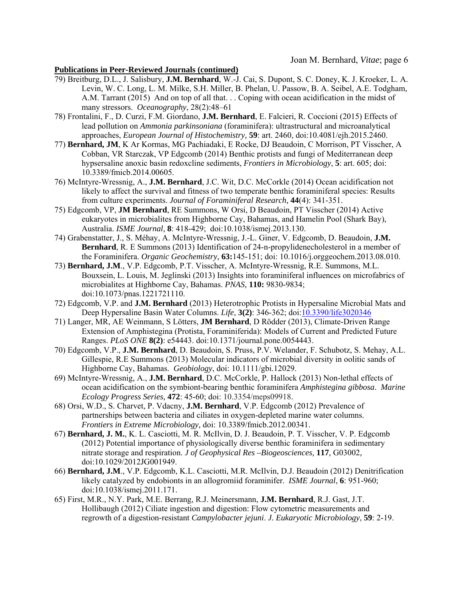- 79) Breitburg, D.L., J. Salisbury, **J.M. Bernhard**, W.-J. Cai, S. Dupont, S. C. Doney, K. J. Kroeker, L. A. Levin, W. C. Long, L. M. Milke, S.H. Miller, B. Phelan, U. Passow, B. A. Seibel, A.E. Todgham, A.M. Tarrant (2015) And on top of all that. . . Coping with ocean acidification in the midst of many stressors. *Oceanography*, 28(2):48–61
- 78) Frontalini, F., D. Curzi, F.M. Giordano, **J.M. Bernhard**, E. Falcieri, R. Coccioni (2015) Effects of lead pollution on *Ammonia parkinsoniana* (foraminifera): ultrastructural and microanalytical approaches, *European Journal of Histochemistry,* **59**: art. 2460, doi:10.4081/ejh.2015.2460.
- 77) **Bernhard, JM**, K Ar Kormas, MG Pachiadaki, E Rocke, DJ Beaudoin, C Morrison, PT Visscher, A Cobban, VR Starczak, VP Edgcomb (2014) Benthic protists and fungi of Mediterranean deep hypsersaline anoxic basin redoxcline sediments, *Frontiers in Microbiology*, **5**: art. 605; doi: 10.3389/fmicb.2014.00605.
- 76) McIntyre-Wressnig, A., **J.M. Bernhard**, J.C. Wit, D.C. McCorkle (2014) Ocean acidification not likely to affect the survival and fitness of two temperate benthic foraminiferal species: Results from culture experiments. *Journal of Foraminiferal Research,* **44**(4): 341-351.
- 75) Edgcomb, VP, **JM Bernhard**, RE Summons, W Orsi, D Beaudoin, PT Visscher (2014) Active eukaryotes in microbialites from Highborne Cay, Bahamas, and Hamelin Pool (Shark Bay), Australia. *ISME Journal,* **8**: 418-429; doi:10.1038/ismej.2013.130.
- 74) Grabenstatter, J., S. Méhay, A. McIntyre-Wressnig, J.-L. Giner, V. Edgcomb, D. Beaudoin, **J.M. Bernhard**, R. E Summons (2013) Identification of 24-n-propylidenecholesterol in a member of the Foraminifera. *Organic Geochemistry,* **63:**145-151; doi: 10.1016/j.orggeochem.2013.08.010.
- 73) **Bernhard, J.M**., V.P. Edgcomb, P.T. Visscher, A. McIntyre-Wressnig, R.E. Summons, M.L. Bouxsein, L. Louis, M. Jeglinski (2013) Insights into foraminiferal influences on microfabrics of microbialites at Highborne Cay, Bahamas. *PNAS,* **110:** 9830-9834; doi:10.1073/pnas.1221721110.
- 72) Edgcomb, V.P. and **J.M. Bernhard** (2013) Heterotrophic Protists in Hypersaline Microbial Mats and Deep Hypersaline Basin Water Columns. *Life*, **3(2)**: 346-362; doi:10.3390/life3020346
- 71) Langer, MR, AE Weinmann, S Lötters, **JM Bernhard**, D Rödder (2013), Climate-Driven Range Extension of Amphistegina (Protista, Foraminiferida): Models of Current and Predicted Future Ranges. *PLoS ONE* **8(2)**: e54443. doi:10.1371/journal.pone.0054443.
- 70) Edgcomb, V.P., **J.M. Bernhard**, D. Beaudoin, S. Pruss, P.V. Welander, F. Schubotz, S. Mehay, A.L. Gillespie, R.E Summons (2013) Molecular indicators of microbial diversity in oolitic sands of Highborne Cay, Bahamas. *Geobiology*, doi: 10.1111/gbi.12029.
- 69) McIntyre-Wressnig, A., **J.M. Bernhard**, D.C. McCorkle, P. Hallock (2013) Non-lethal effects of ocean acidification on the symbiont-bearing benthic foraminifera *Amphistegina gibbosa*. *Marine Ecology Progress Series,* **472**: 45-60; doi: 10.3354/meps09918.
- 68) Orsi, W.D., S. Charvet, P. Vdacny, **J.M. Bernhard**, V.P. Edgcomb (2012) Prevalence of partnerships between bacteria and ciliates in oxygen-depleted marine water columns. *Frontiers in Extreme Microbiology,* doi: 10.3389/fmicb.2012.00341.
- 67) **Bernhard, J. M.**, K. L. Casciotti, M. R. McIlvin, D. J. Beaudoin, P. T. Visscher, V. P. Edgcomb (2012) Potential importance of physiologically diverse benthic foraminifera in sedimentary nitrate storage and respiration. *J of Geophysical Res –Biogeosciences,* **117***,* G03002*,*  doi:10.1029/2012JG001949.
- 66) **Bernhard, J.M**., V.P. Edgcomb, K.L. Casciotti, M.R. McIlvin, D.J. Beaudoin (2012) Denitrification likely catalyzed by endobionts in an allogromiid foraminifer. *ISME Journal*, **6**: 951-960; doi:10.1038/ismej.2011.171.
- 65) First, M.R., N.Y. Park, M.E. Berrang, R.J. Meinersmann, **J.M. Bernhard**, R.J. Gast, J.T. Hollibaugh (2012) Ciliate ingestion and digestion: Flow cytometric measurements and regrowth of a digestion-resistant *Campylobacter jejuni*. *J. Eukaryotic Microbiology*, **59**: 2-19.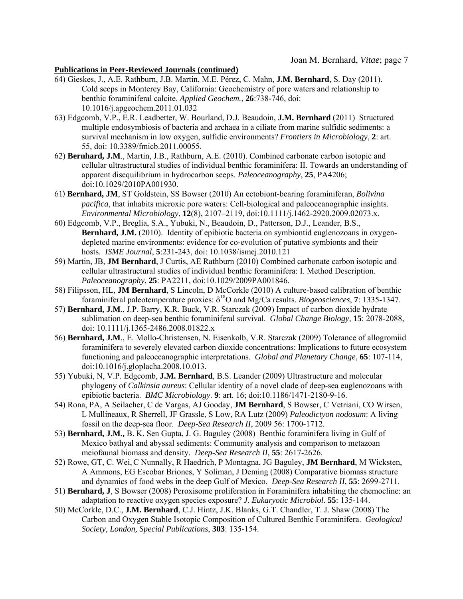- 64) Gieskes, J., A.E. Rathburn, J.B. Martin, M.E. Pérez, C. Mahn, **J.M. Bernhard**, S. Day (2011). Cold seeps in Monterey Bay, California: Geochemistry of pore waters and relationship to benthic foraminiferal calcite. *Applied Geochem.*, **26**:738-746, doi: 10.1016/j.apgeochem.2011.01.032
- 63) Edgcomb, V.P., E.R. Leadbetter, W. Bourland, D.J. Beaudoin, **J.M. Bernhard** (2011) Structured multiple endosymbiosis of bacteria and archaea in a ciliate from marine sulfidic sediments: a survival mechanism in low oxygen, sulfidic environments? *Frontiers in Microbiology*, **2**: art. 55, doi: 10.3389/fmicb.2011.00055.
- 62) **Bernhard, J.M**., Martin, J.B., Rathburn, A.E. (2010). Combined carbonate carbon isotopic and cellular ultrastructural studies of individual benthic foraminifera: II. Towards an understanding of apparent disequilibrium in hydrocarbon seeps. *Paleoceanography*, **25**, PA4206; doi:10.1029/2010PA001930.
- 61) **Bernhard, JM**, ST Goldstein, SS Bowser (2010) An ectobiont-bearing foraminiferan, *Bolivina pacifica*, that inhabits microxic pore waters: Cell-biological and paleoceanographic insights. *Environmental Microbiology*, **12**(8), 2107–2119, doi:10.1111/j.1462-2920.2009.02073.x.
- 60) Edgcomb, V.P., Breglia, S.A., Yubuki, N., Beaudoin, D., Patterson, D.J., Leander, B.S., **Bernhard, J.M.** (2010). Identity of epibiotic bacteria on symbiontid euglenozoans in oxygendepleted marine environments: evidence for co-evolution of putative symbionts and their hosts. *ISME Journal*, **5**:231-243, doi: 10.1038/ismej.2010.121
- 59) Martin, JB, **JM Bernhard**, J Curtis, AE Rathburn (2010) Combined carbonate carbon isotopic and cellular ultrastructural studies of individual benthic foraminifera: I. Method Description. *Paleoceanography*, **25**: PA2211, doi:10.1029/2009PA001846.
- 58) Filipsson, HL, **JM Bernhard**, S Lincoln, D McCorkle (2010) A culture-based calibration of benthic foraminiferal paleotemperature proxies:  $\delta^{18}$ O and Mg/Ca results. *Biogeosciences*, **7**: 1335-1347.
- 57) **Bernhard, J.M**., J.P. Barry, K.R. Buck, V.R. Starczak (2009) Impact of carbon dioxide hydrate sublimation on deep-sea benthic foraminiferal survival. *Global Change Biology,* **15**: 2078-2088, doi: 10.1111/j.1365-2486.2008.01822.x
- 56) **Bernhard, J.M**., E. Mollo-Christensen, N. Eisenkolb, V.R. Starczak (2009) Tolerance of allogromiid foraminifera to severely elevated carbon dioxide concentrations: Implications to future ecosystem functioning and paleoceanographic interpretations. *Global and Planetary Change*, **65**: 107-114, doi:10.1016/j.gloplacha.2008.10.013.
- 55) Yubuki, N, V.P. Edgcomb, **J.M. Bernhard**, B.S. Leander (2009) Ultrastructure and molecular phylogeny of *Calkinsia aureus*: Cellular identity of a novel clade of deep-sea euglenozoans with epibiotic bacteria. *BMC Microbiology*. **9**: art. 16; doi:10.1186/1471-2180-9-16.
- 54) Rona, PA, A Seilacher, C de Vargas, AJ Gooday, **JM Bernhard**, S Bowser, C Vetriani, CO Wirsen, L Mullineaux, R Sherrell, JF Grassle, S Low, RA Lutz (2009) *Paleodictyon nodosum*: A living fossil on the deep-sea floor. *Deep-Sea Research II*, 2009 56: 1700-1712.
- 53) **Bernhard, J.M.,** B. K. Sen Gupta, J. G. Baguley (2008) Benthic foraminifera living in Gulf of Mexico bathyal and abyssal sediments: Community analysis and comparison to metazoan meiofaunal biomass and density. *Deep-Sea Research II,* **55**: 2617-2626.
- 52) Rowe, GT, C. Wei,C Nunnally, R Haedrich, P Montagna, JG Baguley, **JM Bernhard**, M Wicksten, A Ammons, EG Escobar Briones, Y Soliman, J Deming (2008) Comparative biomass structure and dynamics of food webs in the deep Gulf of Mexico. *Deep-Sea Research II*, **55**: 2699-2711.
- 51) **Bernhard, J**, S Bowser (2008) Peroxisome proliferation in Foraminifera inhabiting the chemocline: an adaptation to reactive oxygen species exposure? *J. Eukaryotic Microbiol.* **55**: 135-144.
- 50) McCorkle, D.C., **J.M. Bernhard**, C.J. Hintz, J.K. Blanks, G.T. Chandler, T. J. Shaw (2008) The Carbon and Oxygen Stable Isotopic Composition of Cultured Benthic Foraminifera. *Geological Society, London, Special Publications*, **303**: 135-154.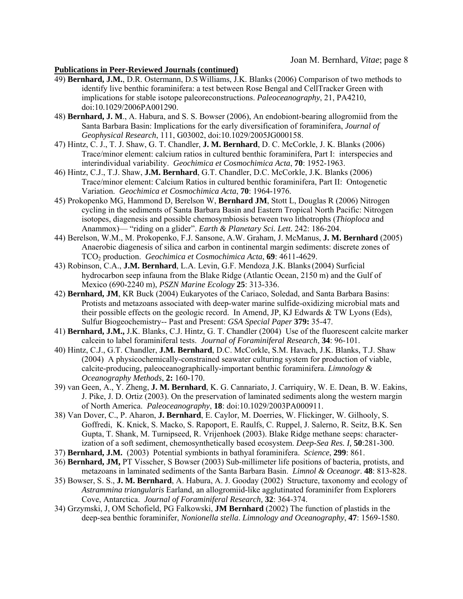- 49) **Bernhard, J.M.**, D.R. Ostermann, D.SWilliams, J.K. Blanks (2006) Comparison of two methods to identify live benthic foraminifera: a test between Rose Bengal and CellTracker Green with implications for stable isotope paleoreconstructions. *Paleoceanography*, 21, PA4210, doi:10.1029/2006PA001290.
- 48) **Bernhard, J. M**., A. Habura, and S. S. Bowser (2006), An endobiont-bearing allogromiid from the Santa Barbara Basin: Implications for the early diversification of foraminifera, *Journal of Geophysical Research*, 111, G03002, doi:10.1029/2005JG000158.
- 47) Hintz, C. J., T. J. Shaw, G. T. Chandler, **J. M. Bernhard**, D. C. McCorkle, J. K. Blanks (2006) Trace/minor element: calcium ratios in cultured benthic foraminifera, Part I: interspecies and interindividual variability. *Geochimica et Cosmochimica Acta*, **70**: 1952-1963.
- 46) Hintz, C.J., T.J. Shaw, **J.M. Bernhard**, G.T. Chandler, D.C. McCorkle, J.K. Blanks (2006) Trace/minor element: Calcium Ratios in cultured benthic foraminifera, Part II: Ontogenetic Variation. *Geochimica et Cosmochimica Acta*, **70**: 1964-1976.
- 45) Prokopenko MG, Hammond D, Berelson W, **Bernhard JM**, Stott L, Douglas R (2006) Nitrogen cycling in the sediments of Santa Barbara Basin and Eastern Tropical North Pacific: Nitrogen isotopes, diagenesis and possible chemosymbiosis between two lithotrophs (*Thioploca* and Anammox)— "riding on a glider". *Earth & Planetary Sci. Lett.* 242: 186-204.
- 44) Berelson, W.M., M. Prokopenko, F.J. Sansone, A.W. Graham, J. McManus, **J. M. Bernhard** (2005) Anaerobic diagenesis of silica and carbon in continental margin sediments: discrete zones of TCO2 production. *Geochimica et Cosmochimica Acta*, **69**: 4611-4629.
- 43) Robinson, C.A., **J.M. Bernhard**, L.A. Levin, G.F. Mendoza, J.K. Blanks(2004) Surficial hydrocarbon seep infauna from the Blake Ridge (Atlantic Ocean, 2150 m) and the Gulf of Mexico (690-2240 m), *PSZN Marine Ecology* **25**: 313-336.
- 42) **Bernhard, JM**, KR Buck (2004) Eukaryotes of the Cariaco, Soledad, and Santa Barbara Basins: Protists and metazoans associated with deep-water marine sulfide-oxidizing microbial mats and their possible effects on the geologic record. In Amend, JP, KJ Edwards  $&$  TW Lyons (Eds), Sulfur Biogeochemistry-- Past and Present: *GSA Special Paper* **379:** 35-47.
- 41) **Bernhard, J.M.,** J.K. Blanks, C.J. Hintz, G. T. Chandler (2004) Use of the fluorescent calcite marker calcein to label foraminiferal tests. *Journal of Foraminiferal Research*, **34**: 96-101.
- 40) Hintz, C.J., G.T. Chandler, **J.M. Bernhard**, D.C. McCorkle, S.M. Havach, J.K. Blanks, T.J. Shaw (2004) A physicochemically-constrained seawater culturing system for production of viable, calcite-producing, paleoceanographically-important benthic foraminifera. *Limnology & Oceanography Methods*, **2:** 160-170.
- 39) van Geen, A., Y. Zheng, **J. M. Bernhard**, K. G. Cannariato, J. Carriquiry, W. E. Dean, B. W. Eakins, J. Pike, J. D. Ortiz (2003). On the preservation of laminated sediments along the western margin of North America. *Paleoceanography*, **18**: doi:10.1029/2003PA000911.
- 38) Van Dover, C., P. Aharon, **J. Bernhard**, E. Caylor, M. Doerries, W. Flickinger, W. Gilhooly, S. Goffredi, K. Knick, S. Macko, S. Rapoport, E. Raulfs, C. Ruppel, J. Salerno, R. Seitz, B.K. Sen Gupta, T. Shank, M. Turnipseed, R. Vrijenhoek (2003). Blake Ridge methane seeps: characterization of a soft sediment, chemosynthetically based ecosystem. *Deep-Sea Res. I,* **50**:281-300.
- 37) **Bernhard, J.M.** (2003) Potential symbionts in bathyal foraminifera. *Science*, **299**: 861.
- 36) **Bernhard, JM,** PT Visscher, S Bowser (2003) Sub-millimeter life positions of bacteria, protists, and metazoans in laminated sediments of the Santa Barbara Basin. *Limnol & Oceanogr*. **48**: 813-828.
- 35) Bowser, S. S., **J. M. Bernhard**, A. Habura, A. J. Gooday (2002) Structure, taxonomy and ecology of *Astrammina triangularis* Earland, an allogromiid-like agglutinated foraminifer from Explorers Cove, Antarctica. *Journal of Foraminiferal Research,* **32**: 364-374.
- 34) Grzymski, J, OM Schofield, PG Falkowski, **JM Bernhard** (2002) The function of plastids in the deep-sea benthic foraminifer, *Nonionella stella*. *Limnology and Oceanography*, **47**: 1569-1580.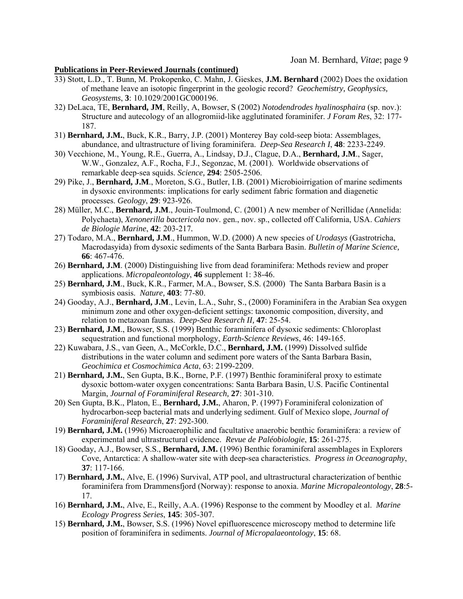- 33) Stott, L.D., T. Bunn, M. Prokopenko, C. Mahn, J. Gieskes, **J.M. Bernhard** (2002) Does the oxidation of methane leave an isotopic fingerprint in the geologic record? *Geochemistry, Geophysics, Geosystems*, **3**: 10.1029/2001GC000196.
- 32) DeLaca, TE, **Bernhard, JM**, Reilly, A, Bowser, S (2002) *Notodendrodes hyalinosphaira* (sp. nov.): Structure and autecology of an allogromiid-like agglutinated foraminifer. *J Foram Res*, 32: 177- 187.
- 31) **Bernhard, J.M.**, Buck, K.R., Barry, J.P. (2001) Monterey Bay cold-seep biota: Assemblages, abundance, and ultrastructure of living foraminifera. *Deep-Sea Research I*, **48**: 2233-2249.
- 30) Vecchione, M., Young, R.E., Guerra, A., Lindsay, D.J., Clague, D.A., **Bernhard, J.M**., Sager, W.W., Gonzalez, A.F., Rocha, F.J., Segonzac, M. (2001). Worldwide observations of remarkable deep-sea squids. *Science,* **294**: 2505-2506.
- 29) Pike, J., **Bernhard, J.M**., Moreton, S.G., Butler, I.B. (2001) Microbioirrigation of marine sediments in dysoxic environments: implications for early sediment fabric formation and diagenetic processes. *Geology*, **29**: 923-926.
- 28) Müller, M.C., **Bernhard, J.M**., Jouin-Toulmond, C. (2001) A new member of Nerillidae (Annelida: Polychaeta), *Xenonerilla bactericola* nov. gen., nov. sp., collected off California, USA. *Cahiers de Biologie Marine*, **42**: 203-217*.*
- 27) Todaro, M.A., **Bernhard, J.M**., Hummon, W.D. (2000) A new species of *Urodasys* (Gastrotricha, Macrodasyida) from dysoxic sediments of the Santa Barbara Basin. *Bulletin of Marine Science,*  **66**: 467-476.
- 26) **Bernhard, J.M**. (2000) Distinguishing live from dead foraminifera: Methods review and proper applications. *Micropaleontology*, **46** supplement 1: 38-46.
- 25) **Bernhard, J.M**., Buck, K.R., Farmer, M.A., Bowser, S.S. (2000) The Santa Barbara Basin is a symbiosis oasis. *Nature,* **403**: 77-80.
- 24) Gooday, A.J., **Bernhard, J.M**., Levin, L.A., Suhr, S., (2000) Foraminifera in the Arabian Sea oxygen minimum zone and other oxygen-deficient settings: taxonomic composition, diversity, and relation to metazoan faunas. *Deep-Sea Research II,* **47**: 25-54.
- 23) **Bernhard, J.M**., Bowser, S.S. (1999) Benthic foraminifera of dysoxic sediments: Chloroplast sequestration and functional morphology, *Earth-Science Reviews*, 46: 149-165.
- 22) Kuwabara, J.S., van Geen, A., McCorkle, D.C., **Bernhard, J.M.** (1999) Dissolved sulfide distributions in the water column and sediment pore waters of the Santa Barbara Basin, *Geochimica et Cosmochimica Acta*, 63: 2199-2209.
- 21) **Bernhard, J.M.**, Sen Gupta, B.K., Borne, P.F. (1997) Benthic foraminiferal proxy to estimate dysoxic bottom-water oxygen concentrations: Santa Barbara Basin, U.S. Pacific Continental Margin, *Journal of Foraminiferal Research,* **27**: 301-310.
- 20) Sen Gupta, B.K., Platon, E., **Bernhard, J.M.**, Aharon, P. (1997) Foraminiferal colonization of hydrocarbon-seep bacterial mats and underlying sediment. Gulf of Mexico slope, *Journal of Foraminiferal Research*, **27**: 292-300.
- 19) **Bernhard, J.M.** (1996) Microaerophilic and facultative anaerobic benthic foraminifera: a review of experimental and ultrastructural evidence. *Revue de Paléobiologie*, **15**: 261-275.
- 18) Gooday, A.J., Bowser, S.S., **Bernhard, J.M.** (1996) Benthic foraminiferal assemblages in Explorers Cove, Antarctica: A shallow-water site with deep-sea characteristics. *Progress in Oceanography*, **37**: 117-166.
- 17) **Bernhard, J.M.**, Alve, E. (1996) Survival, ATP pool, and ultrastructural characterization of benthic foraminifera from Drammensfjord (Norway): response to anoxia. *Marine Micropaleontology*, **28**:5- 17.
- 16) **Bernhard, J.M.**, Alve, E., Reilly, A.A. (1996) Response to the comment by Moodley et al. *Marine Ecology Progress Series*, **145**: 305-307.
- 15) **Bernhard, J.M.**, Bowser, S.S. (1996) Novel epifluorescence microscopy method to determine life position of foraminifera in sediments. *Journal of Micropalaeontology*, **15**: 68.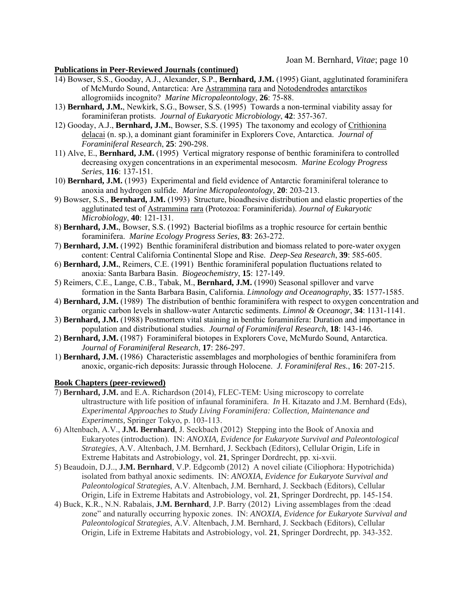- 14) Bowser, S.S., Gooday, A.J., Alexander, S.P., **Bernhard, J.M.** (1995) Giant, agglutinated foraminifera of McMurdo Sound, Antarctica: Are Astrammina rara and Notodendrodes antarctikos allogromiids incognito? *Marine Micropaleontology*, **26**: 75-88.
- 13) **Bernhard, J.M.**, Newkirk, S.G., Bowser, S.S. (1995) Towards a non-terminal viability assay for foraminiferan protists. *Journal of Eukaryotic Microbiology*, **42**: 357-367.
- 12) Gooday, A.J., **Bernhard, J.M.**, Bowser, S.S. (1995) The taxonomy and ecology of Crithionina delacai (n. sp.), a dominant giant foraminifer in Explorers Cove, Antarctica. *Journal of Foraminiferal Research*, **25**: 290-298.
- 11) Alve, E., **Bernhard, J.M.** (1995) Vertical migratory response of benthic foraminifera to controlled decreasing oxygen concentrations in an experimental mesocosm. *Marine Ecology Progress Series*, **116**: 137-151.
- 10) **Bernhard, J.M.** (1993) Experimental and field evidence of Antarctic foraminiferal tolerance to anoxia and hydrogen sulfide. *Marine Micropaleontology*, **20**: 203-213.
- 9) Bowser, S.S., **Bernhard, J.M.** (1993) Structure, bioadhesive distribution and elastic properties of the agglutinated test of Astrammina rara (Protozoa: Foraminiferida). *Journal of Eukaryotic Microbiology*, **40**: 121-131.
- 8) **Bernhard, J.M.**, Bowser, S.S. (1992) Bacterial biofilms as a trophic resource for certain benthic foraminifera. *Marine Ecology Progress Series,* **83**: 263-272.
- 7) **Bernhard, J.M.** (1992) Benthic foraminiferal distribution and biomass related to pore-water oxygen content: Central California Continental Slope and Rise. *Deep-Sea Research*, **39**: 585-605.
- 6) **Bernhard, J.M.**, Reimers, C.E. (1991) Benthic foraminiferal population fluctuations related to anoxia: Santa Barbara Basin. *Biogeochemistry*, **15**: 127-149.
- 5) Reimers, C.E., Lange, C.B., Tabak, M., **Bernhard, J.M.** (1990) Seasonal spillover and varve formation in the Santa Barbara Basin, California. *Limnology and Oceanography*, **35**: 1577-1585.
- 4) **Bernhard, J.M.** (1989) The distribution of benthic foraminifera with respect to oxygen concentration and organic carbon levels in shallow-water Antarctic sediments. *Limnol & Oceanogr*, **34**: 1131-1141.
- 3) **Bernhard, J.M.** (1988) Postmortem vital staining in benthic foraminifera: Duration and importance in population and distributional studies. *Journal of Foraminiferal Research*, **18**: 143-146.
- 2) **Bernhard, J.M.** (1987) Foraminiferal biotopes in Explorers Cove, McMurdo Sound, Antarctica. *Journal of Foraminiferal Research*, **17**: 286-297.
- 1) **Bernhard, J.M.** (1986) Characteristic assemblages and morphologies of benthic foraminifera from anoxic, organic-rich deposits: Jurassic through Holocene. *J. Foraminiferal Res.*, **16**: 207-215.

#### **Book Chapters (peer-reviewed)**

- 7) **Bernhard, J.M.** and E.A. Richardson (2014), FLEC-TEM: Using microscopy to correlate ultrastructure with life position of infaunal foraminifera. *In* H. Kitazato and J.M. Bernhard (Eds), *Experimental Approaches to Study Living Foraminifera: Collection, Maintenance and Experiments,* Springer Tokyo, p. 103-113.
- 6) Altenbach, A.V., **J.M. Bernhard**, J. Seckbach (2012) Stepping into the Book of Anoxia and Eukaryotes (introduction). IN: *ANOXIA, Evidence for Eukaryote Survival and Paleontological Strategies*, A.V. Altenbach, J.M. Bernhard, J. Seckbach (Editors), Cellular Origin, Life in Extreme Habitats and Astrobiology, vol. **21**, Springer Dordrecht, pp. xi-xvii.
- 5) Beaudoin, D.J.., **J.M. Bernhard**, V.P. Edgcomb (2012) A novel ciliate (Ciliophora: Hypotrichida) isolated from bathyal anoxic sediments. IN: *ANOXIA, Evidence for Eukaryote Survival and Paleontological Strategies*, A.V. Altenbach, J.M. Bernhard, J. Seckbach (Editors), Cellular Origin, Life in Extreme Habitats and Astrobiology, vol. **21**, Springer Dordrecht, pp. 145-154.
- 4) Buck, K.R., N.N. Rabalais, **J.M. Bernhard**, J.P. Barry (2012) Living assemblages from the :dead zone" and naturally occurring hypoxic zones. IN: *ANOXIA, Evidence for Eukaryote Survival and Paleontological Strategies*, A.V. Altenbach, J.M. Bernhard, J. Seckbach (Editors), Cellular Origin, Life in Extreme Habitats and Astrobiology, vol. **21**, Springer Dordrecht, pp. 343-352.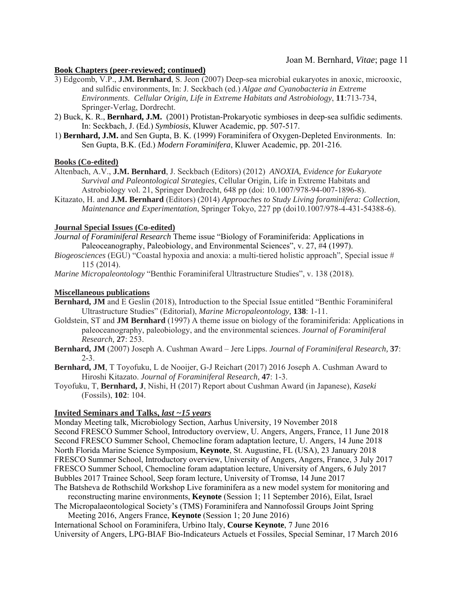# Joan M. Bernhard, *Vitae*; page 11

#### **Book Chapters (peer-reviewed; continued)**

- 3) Edgcomb, V.P., **J.M. Bernhard**, S. Jeon (2007) Deep-sea microbial eukaryotes in anoxic, microoxic, and sulfidic environments, In: J. Seckbach (ed.) *Algae and Cyanobacteria in Extreme Environments*. *Cellular Origin, Life in Extreme Habitats and Astrobiology*, **11**:713-734, Springer-Verlag, Dordrecht.
- 2) Buck, K. R., **Bernhard, J.M.** (2001) Protistan-Prokaryotic symbioses in deep-sea sulfidic sediments. In: Seckbach, J. (Ed.) *Symbiosis*, Kluwer Academic, pp. 507-517.
- 1) **Bernhard, J.M.** and Sen Gupta, B. K. (1999) Foraminifera of Oxygen-Depleted Environments. In: Sen Gupta, B.K. (Ed.) *Modern Foraminifera*, Kluwer Academic, pp. 201-216.

#### **Books (Co-edited)**

- Altenbach, A.V., **J.M. Bernhard**, J. Seckbach (Editors) (2012) *ANOXIA, Evidence for Eukaryote Survival and Paleontological Strategies*, Cellular Origin, Life in Extreme Habitats and Astrobiology vol. 21, Springer Dordrecht, 648 pp (doi: 10.1007/978-94-007-1896-8).
- Kitazato, H. and **J.M. Bernhard** (Editors) (2014) *Approaches to Study Living foraminifera: Collection, Maintenance and Experimentation*, Springer Tokyo, 227 pp (doi10.1007/978-4-431-54388-6).

#### **Journal Special Issues (Co-edited)**

*Journal of Foraminiferal Research* Theme issue "Biology of Foraminiferida: Applications in Paleoceanography, Paleobiology, and Environmental Sciences", v. 27, #4 (1997).

*Biogeosciences* (EGU) "Coastal hypoxia and anoxia: a multi-tiered holistic approach", Special issue # 115 (2014).

*Marine Micropaleontology* "Benthic Foraminiferal Ultrastructure Studies", v. 138 (2018).

#### **Miscellaneous publications**

- **Bernhard, JM** and E Geslin (2018), Introduction to the Special Issue entitled "Benthic Foraminiferal Ultrastructure Studies" (Editorial), *Marine Micropaleontology,* **138**: 1-11.
- Goldstein, ST and **JM Bernhard** (1997) A theme issue on biology of the foraminiferida: Applications in paleoceanography, paleobiology, and the environmental sciences. *Journal of Foraminiferal Research,* **27**: 253.
- **Bernhard, JM** (2007) Joseph A. Cushman Award Jere Lipps. *Journal of Foraminiferal Research,* **37**:  $2 - 3$ .
- **Bernhard, JM**, T Toyofuku, L de Nooijer, G-J Reichart (2017) 2016 Joseph A. Cushman Award to Hiroshi Kitazato. *Journal of Foraminiferal Research,* **47**: 1-3.
- Toyofuku, T, **Bernhard, J**, Nishi, H (2017) Report about Cushman Award (in Japanese), *Kaseki* (Fossils), **102**: 104.

#### **Invited Seminars and Talks,** *last ~15 years*

Monday Meeting talk, Microbiology Section, Aarhus University, 19 November 2018 Second FRESCO Summer School, Introductory overview, U. Angers, Angers, France, 11 June 2018 Second FRESCO Summer School, Chemocline foram adaptation lecture, U. Angers, 14 June 2018 North Florida Marine Science Symposium, **Keynote**, St. Augustine, FL (USA), 23 January 2018 FRESCO Summer School, Introductory overview, University of Angers, Angers, France, 3 July 2017 FRESCO Summer School, Chemocline foram adaptation lecture, University of Angers, 6 July 2017 Bubbles 2017 Trainee School, Seep foram lecture, University of Tromsø, 14 June 2017

The Batsheva de Rothschild Workshop Live foraminifera as a new model system for monitoring and reconstructing marine environments, **Keynote** (Session 1; 11 September 2016), Eilat, Israel

The Micropalaeontological Society's (TMS) Foraminifera and Nannofossil Groups Joint Spring Meeting 2016, Angers France, **Keynote** (Session 1; 20 June 2016)

International School on Foraminifera, Urbino Italy, **Course Keynote**, 7 June 2016 University of Angers, LPG-BIAF Bio-Indicateurs Actuels et Fossiles, Special Seminar, 17 March 2016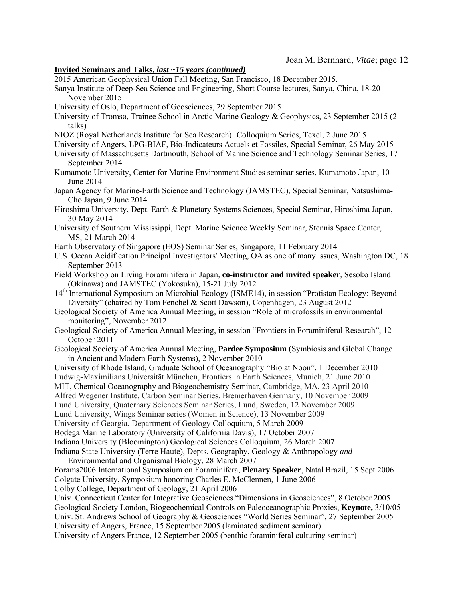#### **Invited Seminars and Talks,** *last ~15 years (continued)*

2015 American Geophysical Union Fall Meeting, San Francisco, 18 December 2015.

- Sanya Institute of Deep-Sea Science and Engineering, Short Course lectures, Sanya, China, 18-20 November 2015
- University of Oslo, Department of Geosciences, 29 September 2015
- University of Tromsø, Trainee School in Arctic Marine Geology & Geophysics, 23 September 2015 (2 talks)
- NIOZ (Royal Netherlands Institute for Sea Research) Colloquium Series, Texel, 2 June 2015
- University of Angers, LPG-BIAF, Bio-Indicateurs Actuels et Fossiles, Special Seminar, 26 May 2015
- University of Massachusetts Dartmouth, School of Marine Science and Technology Seminar Series, 17 September 2014
- Kumamoto University, Center for Marine Environment Studies seminar series, Kumamoto Japan, 10 June 2014
- Japan Agency for Marine-Earth Science and Technology (JAMSTEC), Special Seminar, Natsushima-Cho Japan, 9 June 2014
- Hiroshima University, Dept. Earth & Planetary Systems Sciences, Special Seminar, Hiroshima Japan, 30 May 2014
- University of Southern Mississippi, Dept. Marine Science Weekly Seminar, Stennis Space Center, MS, 21 March 2014
- Earth Observatory of Singapore (EOS) Seminar Series, Singapore, 11 February 2014
- U.S. Ocean Acidification Principal Investigators' Meeting, OA as one of many issues, Washington DC, 18 September 2013
- Field Workshop on Living Foraminifera in Japan, **co-instructor and invited speaker**, Sesoko Island (Okinawa) and JAMSTEC (Yokosuka), 15-21 July 2012
- 14th International Symposium on Microbial Ecology (ISME14), in session "Protistan Ecology: Beyond Diversity" (chaired by Tom Fenchel & Scott Dawson), Copenhagen, 23 August 2012
- Geological Society of America Annual Meeting, in session "Role of microfossils in environmental monitoring", November 2012
- Geological Society of America Annual Meeting, in session "Frontiers in Foraminiferal Research", 12 October 2011
- Geological Society of America Annual Meeting, **Pardee Symposium** (Symbiosis and Global Change in Ancient and Modern Earth Systems), 2 November 2010

University of Rhode Island, Graduate School of Oceanography "Bio at Noon", 1 December 2010 Ludwig-Maximilians Universität München, Frontiers in Earth Sciences, Munich, 21 June 2010 MIT, Chemical Oceanography and Biogeochemistry Seminar, Cambridge, MA, 23 April 2010 Alfred Wegener Institute, Carbon Seminar Series, Bremerhaven Germany, 10 November 2009 Lund University, Quaternary Sciences Seminar Series, Lund, Sweden, 12 November 2009 Lund University, Wings Seminar series (Women in Science), 13 November 2009 University of Georgia, Department of Geology Colloquium, 5 March 2009 Bodega Marine Laboratory (University of California Davis), 17 October 2007 Indiana University (Bloomington) Geological Sciences Colloquium, 26 March 2007 Indiana State University (Terre Haute), Depts. Geography, Geology & Anthropology *and* Environmental and Organismal Biology, 28 March 2007

Forams2006 International Symposium on Foraminifera, **Plenary Speaker**, Natal Brazil, 15 Sept 2006 Colgate University, Symposium honoring Charles E. McClennen, 1 June 2006 Colby College, Department of Geology, 21 April 2006

Univ. Connecticut Center for Integrative Geosciences "Dimensions in Geosciences", 8 October 2005 Geological Society London, Biogeochemical Controls on Paleoceanographic Proxies, **Keynote,** 3/10/05 Univ. St. Andrews School of Geography & Geosciences "World Series Seminar", 27 September 2005 University of Angers, France, 15 September 2005 (laminated sediment seminar) University of Angers France, 12 September 2005 (benthic foraminiferal culturing seminar)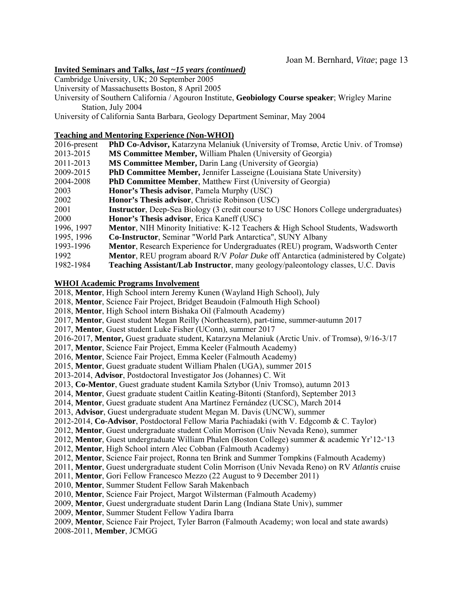# **Invited Seminars and Talks,** *last ~15 years (continued)*

Cambridge University, UK; 20 September 2005

University of Massachusetts Boston, 8 April 2005

University of Southern California / Agouron Institute, **Geobiology Course speaker**; Wrigley Marine Station, July 2004

University of California Santa Barbara, Geology Department Seminar, May 2004

# **Teaching and Mentoring Experience (Non-WHOI)**

| $2016$ -present | PhD Co-Advisor, Katarzyna Melaniuk (University of Tromsø, Arctic Univ. of Tromsø)                 |
|-----------------|---------------------------------------------------------------------------------------------------|
| 2013-2015       | <b>MS Committee Member, William Phalen (University of Georgia)</b>                                |
| 2011-2013       | <b>MS Committee Member, Darin Lang (University of Georgia)</b>                                    |
| 2009-2015       | <b>PhD Committee Member, Jennifer Lasseigne (Louisiana State University)</b>                      |
| 2004-2008       | <b>PhD Committee Member, Matthew First (University of Georgia)</b>                                |
| 2003            | <b>Honor's Thesis advisor, Pamela Murphy (USC)</b>                                                |
| 2002            | Honor's Thesis advisor, Christie Robinson (USC)                                                   |
| 2001            | <b>Instructor</b> , Deep-Sea Biology (3 credit course to USC Honors College undergraduates)       |
| 2000            | Honor's Thesis advisor, Erica Kaneff (USC)                                                        |
| 1996, 1997      | <b>Mentor, NIH Minority Initiative: K-12 Teachers &amp; High School Students, Wadsworth</b>       |
| 1995, 1996      | Co-Instructor, Seminar "World Park Antarctica", SUNY Albany                                       |
| 1993-1996       | Mentor, Research Experience for Undergraduates (REU) program, Wadsworth Center                    |
| 1992            | <b>Mentor</b> , REU program aboard R/V <i>Polar Duke</i> off Antarctica (administered by Colgate) |
| 1982-1984       | <b>Teaching Assistant/Lab Instructor</b> , many geology/paleontology classes, U.C. Davis          |

# **WHOI Academic Programs Involvement**

2018, **Mentor**, High School intern Jeremy Kunen (Wayland High School), July

2018, **Mentor**, Science Fair Project, Bridget Beaudoin (Falmouth High School)

2018, **Mentor**, High School intern Bishaka Oil (Falmouth Academy)

2017, **Mentor**, Guest student Megan Reilly (Northeastern), part-time, summer-autumn 2017

2017, **Mentor**, Guest student Luke Fisher (UConn), summer 2017

2016-2017, **Mentor,** Guest graduate student, Katarzyna Melaniuk (Arctic Univ. of Tromsø), 9/16-3/17

2017, **Mentor**, Science Fair Project, Emma Keeler (Falmouth Academy)

2016, **Mentor**, Science Fair Project, Emma Keeler (Falmouth Academy)

2015, **Mentor**, Guest graduate student William Phalen (UGA), summer 2015

2013-2014, **Advisor**, Postdoctoral Investigator Jos (Johannes) C. Wit

2013, **Co-Mentor**, Guest graduate student Kamila Sztybor (Univ Tromso), autumn 2013

2014, **Mentor**, Guest graduate student Caitlin Keating-Bitonti (Stanford), September 2013

2014, **Mentor**, Guest graduate student Ana Martínez Fernández (UCSC), March 2014

2013, **Advisor**, Guest undergraduate student Megan M. Davis (UNCW), summer

2012-2014, **Co-Advisor**, Postdoctoral Fellow Maria Pachiadaki (with V. Edgcomb & C. Taylor)

2012, **Mentor**, Guest undergraduate student Colin Morrison (Univ Nevada Reno), summer

- 2012, **Mentor**, Guest undergraduate William Phalen (Boston College) summer & academic Yr'12-'13
- 2012, **Mentor**, High School intern Alec Cobban (Falmouth Academy)

2012, **Mentor**, Science Fair project, Ronna ten Brink and Summer Tompkins (Falmouth Academy)

2011, **Mentor**, Guest undergraduate student Colin Morrison (Univ Nevada Reno) on RV *Atlantis* cruise

2011, **Mentor**, Gori Fellow Francesco Mezzo (22 August to 9 December 2011)

2010, **Mentor**, Summer Student Fellow Sarah Makenbach

2010, **Mentor**, Science Fair Project, Margot Wilsterman (Falmouth Academy)

2009, **Mentor**, Guest undergraduate student Darin Lang (Indiana State Univ), summer

2009, **Mentor**, Summer Student Fellow Yadira Ibarra

2009, **Mentor**, Science Fair Project, Tyler Barron (Falmouth Academy; won local and state awards)

2008-2011, **Member**, JCMGG